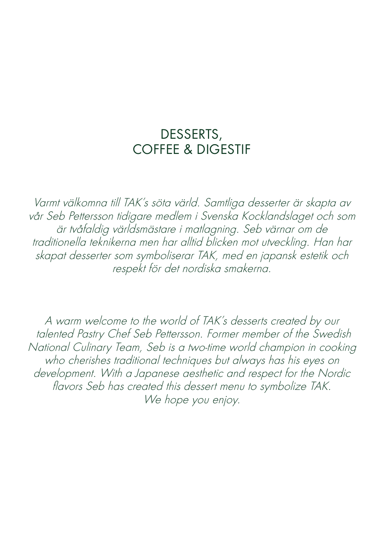## DESSERTS, COFFEE & DIGESTIF

Varmt välkomna till TAK's söta värld. Samtliga desserter är skapta av vår Seb Pettersson tidigare medlem i Svenska Kocklandslaget och som är tvåfaldig världsmästare i matlagning. Seb värnar om de traditionella teknikerna men har alltid blicken mot utveckling. Han har skapat desserter som symboliserar TAK, med en japansk estetik och respekt för det nordiska smakerna.

A warm welcome to the world of TAK's desserts created by our talented Pastry Chef Seb Pettersson. Former member of the Swedish National Culinary Team, Seb is a two-time world champion in cooking who cherishes traditional techniques but always has his eyes on development. With a Japanese aesthetic and respect for the Nordic flavors Seb has created this dessert menu to symbolize TAK. We hope you enjoy.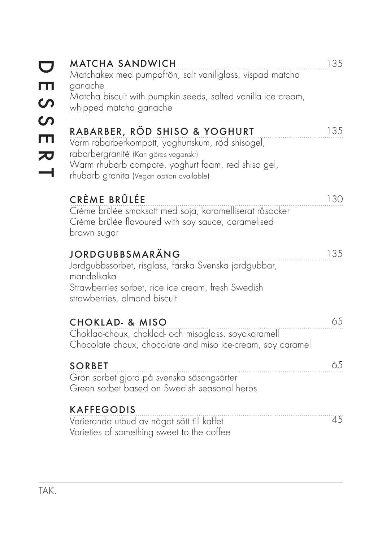| $\overline{\phantom{0}}$<br>ESS                                             | <b>MATCHA SANDWICH</b><br>Matchakex med pumpafrön, salt vaniliglass, vispad matcha<br>ganache<br>Matcha biscuit with pumpkin seeds, salted vanilla ice cream,<br>whipped matcha ganache                                     | 135 |
|-----------------------------------------------------------------------------|-----------------------------------------------------------------------------------------------------------------------------------------------------------------------------------------------------------------------------|-----|
| $\blacksquare$<br>$\begin{array}{c}\n\mathbf{R} \\ \mathbf{R}\n\end{array}$ | RABARBER, RÖD SHISO & YOGHURT<br>Varm rabarberkompott, yoghurtskum, röd shisogel,<br>rabarbergranité (Kan göras veganskt)<br>Warm rhubarb compote, yoghurt foam, red shiso gel,<br>rhubarb granita (Vegan option available) | 135 |
|                                                                             | CRÈME BRÛLÉE<br>Crème brûlée smaksatt med soja, karamelliserat råsocker<br>Crème brûlée flavoured with soy sauce, caramelised<br>brown sugar                                                                                | 130 |
|                                                                             | JORDGUBBSMARÄNG<br>Jordgubbssorbet, risglass, färska Svenska jordgubbar,<br>mandelkaka<br>Strawberries sorbet, rice ice cream, fresh Swedish<br>strawberries, almond biscuit                                                | 135 |
|                                                                             | <b>CHOKLAD- &amp; MISO</b><br>Choklad-choux, choklad- och misoglass, soyakaramell<br>Chocolate choux, chocolate and miso ice-cream, soy caramel                                                                             | 65  |
|                                                                             | <b>SORBET</b><br>Grön sorbet gjord på svenska säsongsörter<br>Green sorbet based on Swedish seasonal herbs                                                                                                                  | 65  |
|                                                                             | <b>KAFFEGODIS</b><br>Varierande utbud av något sött till kaffet<br>Varieties of something sweet to the coffee                                                                                                               | 45  |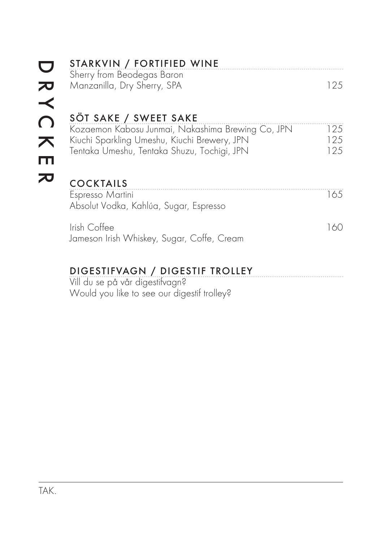|                                                | STARKVIN / FORTIFIED WINE<br>Sherry from Beodegas Baron                                                                                                                   |                   |
|------------------------------------------------|---------------------------------------------------------------------------------------------------------------------------------------------------------------------------|-------------------|
| し<br>ズ                                         | Manzanilla, Dry Sherry, SPA                                                                                                                                               | 125               |
| $\overline{\Omega}$<br>$\overline{\mathbf{x}}$ | SÖT SAKE / SWEET SAKE<br>Kozaemon Kabosu Junmai, Nakashima Brewing Co, JPN<br>Kiuchi Sparkling Umeshu, Kiuchi Brewery, JPN<br>Tentaka Umeshu, Tentaka Shuzu, Tochigi, JPN | 125<br>125<br>125 |
|                                                | <b>COCKTAILS</b><br>Espresso Martini<br>Absolut Vodka, Kahlúa, Sugar, Espresso                                                                                            | 165               |
|                                                | Irish Coffee<br>Jameson Irish Whiskey, Sugar, Coffe, Cream                                                                                                                | 160               |
|                                                | DIGESTIFVAGN / DIGESTIF TROLLEY                                                                                                                                           |                   |

Vill du se på vår digestifvagn? Would you like to see our digestif trolley?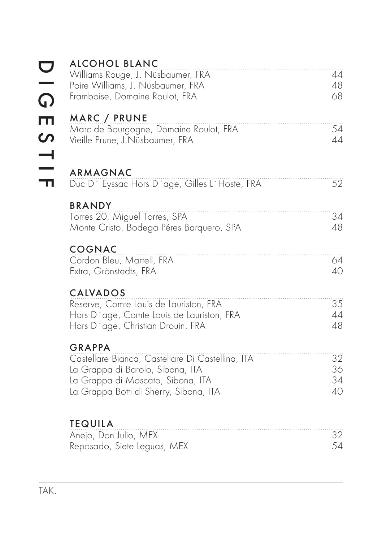| <u>ဝ</u><br>ဂ | <b>ALCOHOL BLANC</b><br>Williams Rouge, J. Nüsbaumer, FRA<br>Poire Williams, J. Nüsbaumer, FRA<br>Framboise, Domaine Roulot, FRA                                                     | 44<br>48<br>68       |
|---------------|--------------------------------------------------------------------------------------------------------------------------------------------------------------------------------------|----------------------|
| ESTIF         | MARC / PRUNE<br>Marc de Bourgogne, Domaine Roulot, FRA<br>Vieille Prune, J.Nüsbaumer, FRA                                                                                            | 54<br>44             |
|               | ARMAGNAC<br>Duc D' Eyssac Hors D'age, Gilles L'Hoste, FRA                                                                                                                            | 52                   |
|               | <b>BRANDY</b><br>Torres 20, Miguel Torres, SPA<br>Monte Cristo, Bodega Péres Barquero, SPA                                                                                           | 34<br>48             |
|               | <b>COGNAC</b><br>Cordon Bleu, Martell, FRA<br>Extra, Grönstedts, FRA                                                                                                                 | 64<br>40             |
|               | <b>CALVADOS</b><br>Reserve, Comte Louis de Lauriston, FRA<br>Hors D'age, Comte Louis de Lauriston, FRA<br>Hors D'age, Christian Drouin, FRA                                          | 35<br>44<br>48       |
|               | <b>GRAPPA</b><br>Castellare Bianca, Castellare Di Castellina, ITA<br>La Grappa di Barolo, Sibona, ITA<br>La Grappa di Moscato, Sibona, ITA<br>La Grappa Botti di Sherry, Sibona, ITA | 32<br>36<br>34<br>40 |
|               | <b>TEQUILA</b><br>Anejo, Don Julio, MEX<br>Reposado, Siete Leguas, MEX                                                                                                               | 32<br>54             |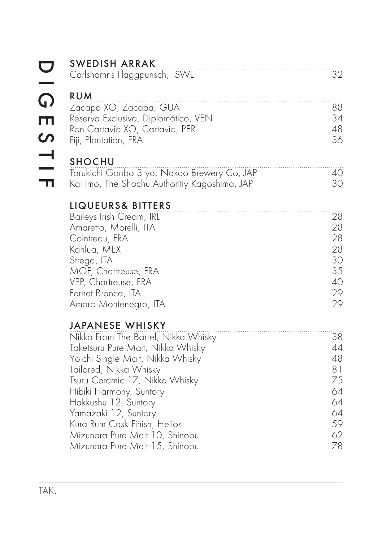|                                                                 | <b>SWEDISH ARRAK</b><br>Carlshamns Flaggpunsch, SWE                                                                                                                                                                                                                                                                                                                               | 32                                                             |
|-----------------------------------------------------------------|-----------------------------------------------------------------------------------------------------------------------------------------------------------------------------------------------------------------------------------------------------------------------------------------------------------------------------------------------------------------------------------|----------------------------------------------------------------|
| $\frac{1}{\Omega}$<br>$\blacksquare$<br>$\overline{\mathbf{S}}$ | <b>RUM</b><br>Zacapa XO, Zacapa, GUA<br>Reserva Exclusiva, Diplomático, VEN<br>Ron Cartavio XO, Cartavio, PER<br>Fiji, Plantation, FRA                                                                                                                                                                                                                                            | 88<br>34<br>48<br>36                                           |
| $\frac{1}{1}$                                                   | <b>SHOCHU</b><br>Tarukichi Ganbo 3 yo, Nakao Brewery Co, JAP<br>Kai Imo, The Shochu Authoritiy Kagoshima, JAP                                                                                                                                                                                                                                                                     | 40<br>30                                                       |
|                                                                 | <b>LIQUEURS&amp; BITTERS</b><br>Baileys Irish Cream, IRL<br>Amaretto, Morelli, ITA<br>Cointreau, FRA<br>Kahlua, MEX<br>Strega, ITA<br>MOF, Chartreuse, FRA<br>VEP, Chartreuse, FRA<br>Fernet Branca, ITA<br>Amaro Montenegro, ITA                                                                                                                                                 | 28<br>28<br>28<br>28<br>30<br>35<br>40<br>29<br>29             |
|                                                                 | <b>JAPANESE WHISKY</b><br>Nikka From The Barrel, Nikka Whisky<br>Taketsuru Pure Malt, Nikka Whisky<br>Yoichi Single Malt, Nikka Whisky<br>Tailored, Nikka Whisky<br>Tsuru Ceramic 17, Nikka Whisky<br>Hibiki Harmony, Suntory<br>Hakkushu 12, Suntory<br>Yamazaki 12, Suntory<br>Kura Rum Cask Finish, Helios<br>Mizunara Pure Malt 10, Shinobu<br>Mizunara Pure Malt 15, Shinobu | 38<br>44<br>48<br>81<br>75<br>64<br>64<br>64<br>59<br>62<br>78 |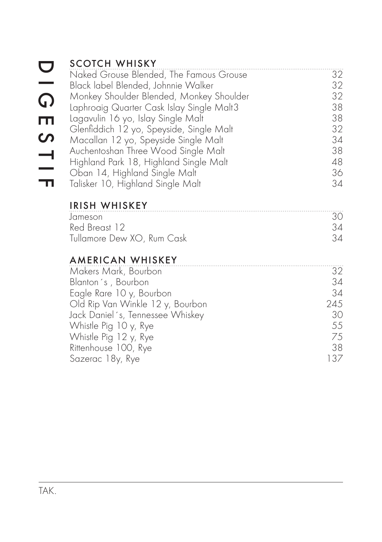|                   | <b>SCOTCH WHISKY</b>                      |     |
|-------------------|-------------------------------------------|-----|
|                   | Naked Grouse Blended, The Famous Grouse   | 32  |
|                   | Black label Blended, Johnnie Walker       | 32  |
| G                 | Monkey Shoulder Blended, Monkey Shoulder  | 32  |
|                   | Laphroaig Quarter Cask Islay Single Malt3 | 38  |
| Ш                 | Lagavulin 16 yo, Islay Single Malt        | 38  |
|                   | Glenfiddich 12 yo, Speyside, Single Malt  | 32  |
| $\mathbf{\Omega}$ | Macallan 12 yo, Speyside Single Malt      | 34  |
|                   | Auchentoshan Three Wood Single Malt       | 38  |
|                   | Highland Park 18, Highland Single Malt    | 48  |
| $\frac{1}{1}$     | Oban 14, Highland Single Malt             | 36  |
|                   | Talisker 10, Highland Single Malt         | 34  |
|                   | <b>IRISH WHISKEY</b>                      |     |
|                   | Jameson                                   | 30  |
|                   | Red Breast 12                             | 34  |
|                   | Tullamore Dew XO, Rum Cask                | 34  |
|                   | <b>AMERICAN WHISKEY</b>                   |     |
|                   | Makers Mark, Bourbon                      | 32  |
|                   | Blanton's, Bourbon                        | 34  |
|                   | Eagle Rare 10 y, Bourbon                  | 34  |
|                   | Old Rip Van Winkle 12 y, Bourbon          | 245 |
|                   | Jack Daniel's, Tennessee Whiskey          | 30  |
|                   | Whistle Pig 10 y, Rye                     | 55  |
|                   | Whistle Pig 12 y, Rye                     | 75  |
|                   | Rittenhouse 100, Rye                      | 38  |
|                   | Sazerac 18y, Rye                          | 137 |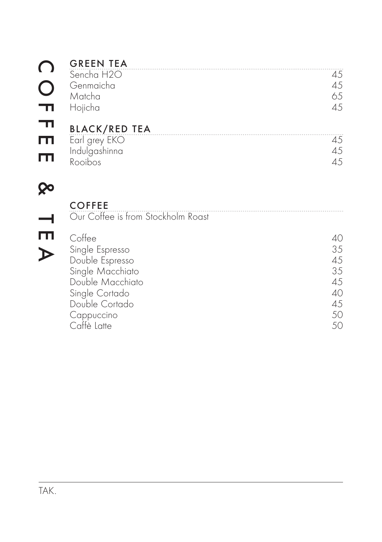|        | <b>GREEN TEA</b>                                                                                                                                      |                                                    |
|--------|-------------------------------------------------------------------------------------------------------------------------------------------------------|----------------------------------------------------|
|        | Sencha H2O<br>Genmaicha<br>Matcha<br>Hojicha                                                                                                          | 45<br>45<br>65<br>45                               |
|        | <b>BLACK/RED TEA</b>                                                                                                                                  |                                                    |
| Ш<br>Ш | Earl grey EKO<br>Indulgashinna<br>Rooibos                                                                                                             | 45<br>45<br>45                                     |
|        |                                                                                                                                                       |                                                    |
|        | <b>COFFEE</b><br>Our Coffee is from Stockholm Roast                                                                                                   |                                                    |
|        | Coffee<br>Single Espresso<br>Double Espresso<br>Single Macchiato<br>Double Macchiato<br>Single Cortado<br>Double Cortado<br>Cappuccino<br>Caffè Latte | 40<br>35<br>45<br>35<br>45<br>40<br>45<br>50<br>50 |